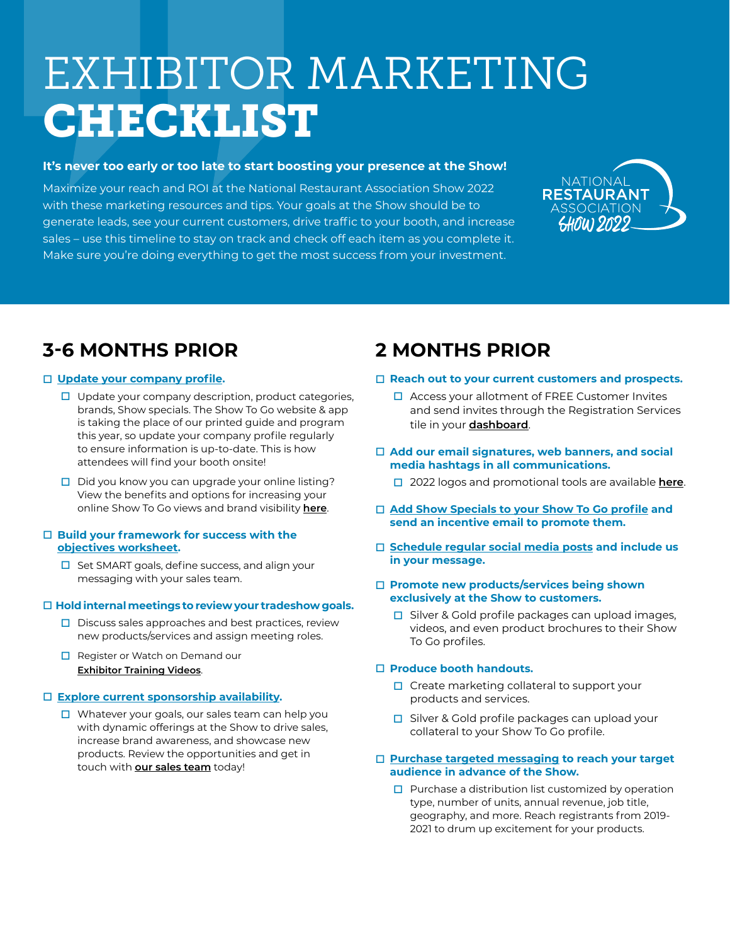# EXHIBITOR MARKETING CHECKLIST

# **It's never too early or too late to start boosting your presence at the Show!**

Maximize your reach and ROI at the National Restaurant Association Show 2022 with these marketing resources and tips. Your goals at the Show should be to generate leads, see your current customers, drive traffic to your booth, and increase sales – use this timeline to stay on track and check off each item as you complete it. Make sure you're doing everything to get the most success from your investment.



# **3-6 MONTHS PRIOR**

# o **[Update your company profile.](https://restaurant22.exh.mapyourshow.com/6_0/login.cfm)**

- $\Box$  Update your company description, product categories, brands, Show specials. The Show To Go website & app is taking the place of our printed guide and program this year, so update your company profile regularly to ensure information is up-to-date. This is how attendees will find your booth onsite!
- $\Box$  Did you know you can upgrade your online listing? View the benefits and options for increasing your online Show To Go views and brand visibility **[here](https://prospectus.nationalrestaurantshow.com/packages/)**.

### □ Build your framework for success with the **[objectives worksheet.](https://cdn.winsightmedia.com/platform/files/sites/events/nrs/service-kit/22_ShowObjectiveWorksheet.pdf)**

 $\Box$  Set SMART goals, define success, and align your messaging with your sales team.

# □ Hold internal meetings to review your tradeshow goals.

- $\Box$  Discuss sales approaches and best practices, review new products/services and assign meeting roles.
- $\Box$  Register or Watch on Demand our **[Exhibitor Training Videos](https://www.bigmarker.com/series/exhibitor-training/series_summit)**.

# o **[Explore current sponsorship availability](https://www.nationalrestaurantshow.com/exhibitors/sponsorships-overview).**

 $\Box$  Whatever your goals, our sales team can help you with dynamic offerings at the Show to drive sales, increase brand awareness, and showcase new products. Review the opportunities and get in touch with **[our sales team](mailto:nraexhibitinfo%40winsightmedia.com?subject=)** today!

# **2 MONTHS PRIOR**

### □ Reach out to your current customers and prospects.

- $\Box$  Access your allotment of FREE Customer Invites and send invites through the Registration Services tile in your **[dashboard](https://restaurant22.exh.mapyourshow.com/6_0/login.cfm)**.
- □ Add our email signatures, web banners, and social **media hashtags in all communications.** 
	- □ 2022 logos and promotional tools are available **[here](https://www.nationalrestaurantshow.com/exhibitor-marketing-resources-center#toolkit)**.
- o **[Add Show Specials to your Show To Go profile](https://restaurant22.exh.mapyourshow.com/6_0/login.cfm) and send an incentive email to promote them.**
- □ [Schedule regular social media posts](https://www.nationalrestaurantshow.com/exhibitor-marketing-resources-center#toolkit) and include us **in your message.**

#### □ Promote new products/services being shown **exclusively at the Show to customers.**

 $\square$  Silver & Gold profile packages can upload images, videos, and even product brochures to their Show To Go profiles.

# □ **Produce booth handouts.**

- $\Box$  Create marketing collateral to support your products and services.
- $\Box$  Silver & Gold profile packages can upload your collateral to your Show To Go profile.

### □ [Purchase targeted messaging](https://restaurant22.exh.mapyourshow.com/6_0/login.cfm) to reach your target **audience in advance of the Show.**

 $\Box$  Purchase a distribution list customized by operation type, number of units, annual revenue, job title, geography, and more. Reach registrants from 2019- 2021 to drum up excitement for your products.